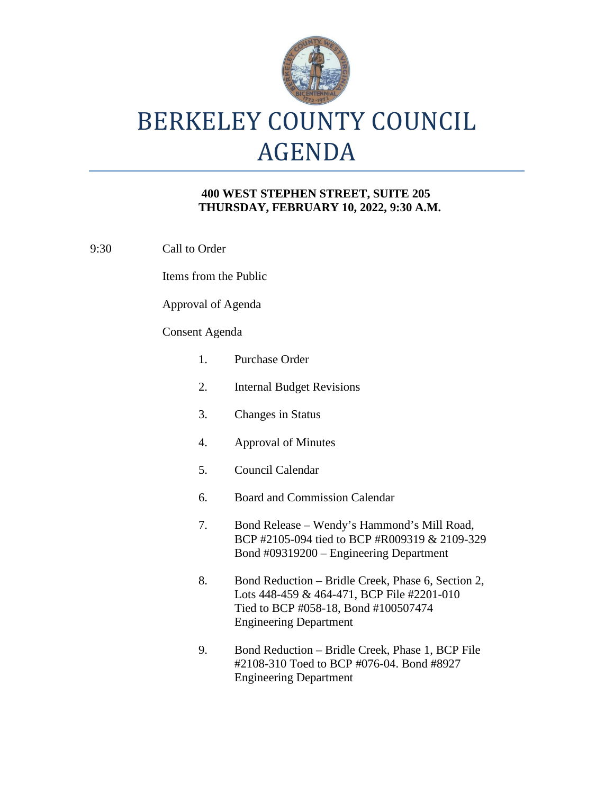

#### **400 WEST STEPHEN STREET, SUITE 205 THURSDAY, FEBRUARY 10, 2022, 9:30 A.M.**

| 9:30 | Call to Order         |                                                                                                                                                                           |
|------|-----------------------|---------------------------------------------------------------------------------------------------------------------------------------------------------------------------|
|      | Items from the Public |                                                                                                                                                                           |
|      | Approval of Agenda    |                                                                                                                                                                           |
|      | <b>Consent Agenda</b> |                                                                                                                                                                           |
|      | 1.                    | <b>Purchase Order</b>                                                                                                                                                     |
|      | 2.                    | <b>Internal Budget Revisions</b>                                                                                                                                          |
|      | 3.                    | <b>Changes in Status</b>                                                                                                                                                  |
|      | 4.                    | <b>Approval of Minutes</b>                                                                                                                                                |
|      | 5.                    | Council Calendar                                                                                                                                                          |
|      | 6.                    | <b>Board and Commission Calendar</b>                                                                                                                                      |
|      | 7.                    | Bond Release – Wendy's Hammond's Mill Road,<br>BCP #2105-094 tied to BCP #R009319 & 2109-329<br>Bond #09319200 – Engineering Department                                   |
|      | 8.                    | Bond Reduction – Bridle Creek, Phase 6, Section 2,<br>Lots 448-459 & 464-471, BCP File #2201-010<br>Tied to BCP #058-18, Bond #100507474<br><b>Engineering Department</b> |
|      |                       |                                                                                                                                                                           |

9. Bond Reduction – Bridle Creek, Phase 1, BCP File #2108-310 Toed to BCP #076-04. Bond #8927 Engineering Department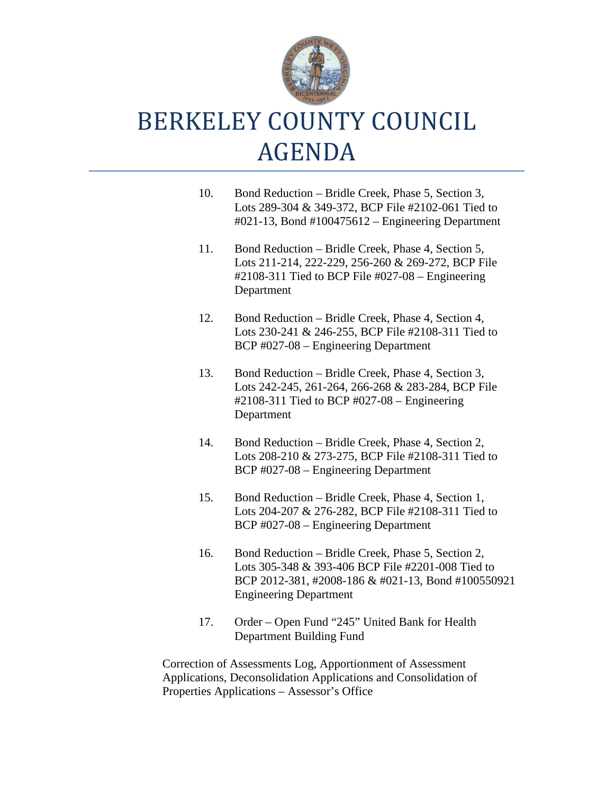

- 10. Bond Reduction Bridle Creek, Phase 5, Section 3, Lots 289-304 & 349-372, BCP File #2102-061 Tied to #021-13, Bond #100475612 – Engineering Department
- 11. Bond Reduction Bridle Creek, Phase 4, Section 5, Lots 211-214, 222-229, 256-260 & 269-272, BCP File #2108-311 Tied to BCP File #027-08 – Engineering Department
- 12. Bond Reduction Bridle Creek, Phase 4, Section 4, Lots 230-241 & 246-255, BCP File #2108-311 Tied to BCP #027-08 – Engineering Department
- 13. Bond Reduction Bridle Creek, Phase 4, Section 3, Lots 242-245, 261-264, 266-268 & 283-284, BCP File #2108-311 Tied to BCP #027-08 – Engineering Department
- 14. Bond Reduction Bridle Creek, Phase 4, Section 2, Lots 208-210 & 273-275, BCP File #2108-311 Tied to BCP #027-08 – Engineering Department
- 15. Bond Reduction Bridle Creek, Phase 4, Section 1, Lots 204-207 & 276-282, BCP File #2108-311 Tied to BCP #027-08 – Engineering Department
- 16. Bond Reduction Bridle Creek, Phase 5, Section 2, Lots 305-348 & 393-406 BCP File #2201-008 Tied to BCP 2012-381, #2008-186 & #021-13, Bond #100550921 Engineering Department
- 17. Order Open Fund "245" United Bank for Health Department Building Fund

Correction of Assessments Log, Apportionment of Assessment Applications, Deconsolidation Applications and Consolidation of Properties Applications – Assessor's Office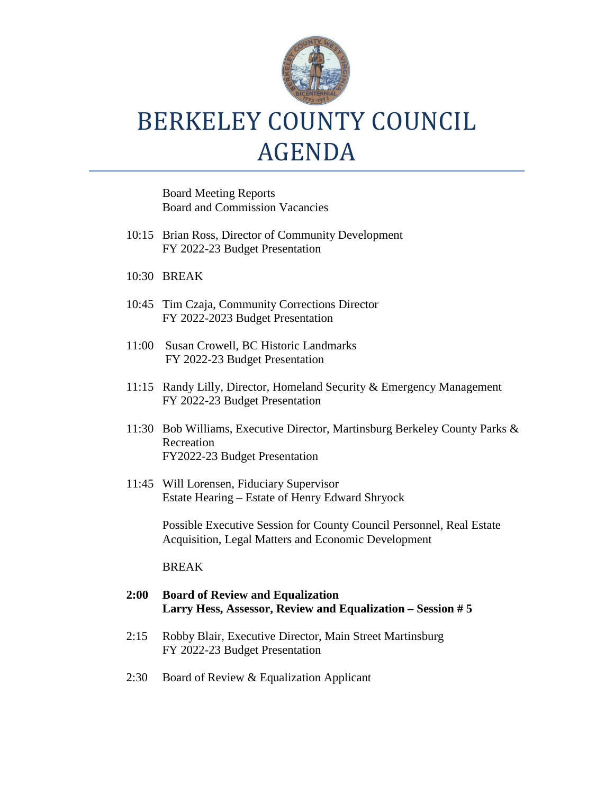

Board Meeting Reports Board and Commission Vacancies

- 10:15 Brian Ross, Director of Community Development FY 2022-23 Budget Presentation
- 10:30 BREAK
- 10:45 Tim Czaja, Community Corrections Director FY 2022-2023 Budget Presentation
- 11:00 Susan Crowell, BC Historic Landmarks FY 2022-23 Budget Presentation
- 11:15 Randy Lilly, Director, Homeland Security & Emergency Management FY 2022-23 Budget Presentation
- 11:30 Bob Williams, Executive Director, Martinsburg Berkeley County Parks & Recreation FY2022-23 Budget Presentation
- 11:45 Will Lorensen, Fiduciary Supervisor Estate Hearing – Estate of Henry Edward Shryock

Possible Executive Session for County Council Personnel, Real Estate Acquisition, Legal Matters and Economic Development

#### BREAK

#### **2:00 Board of Review and Equalization Larry Hess, Assessor, Review and Equalization – Session # 5**

- 2:15 Robby Blair, Executive Director, Main Street Martinsburg FY 2022-23 Budget Presentation
- 2:30 Board of Review & Equalization Applicant